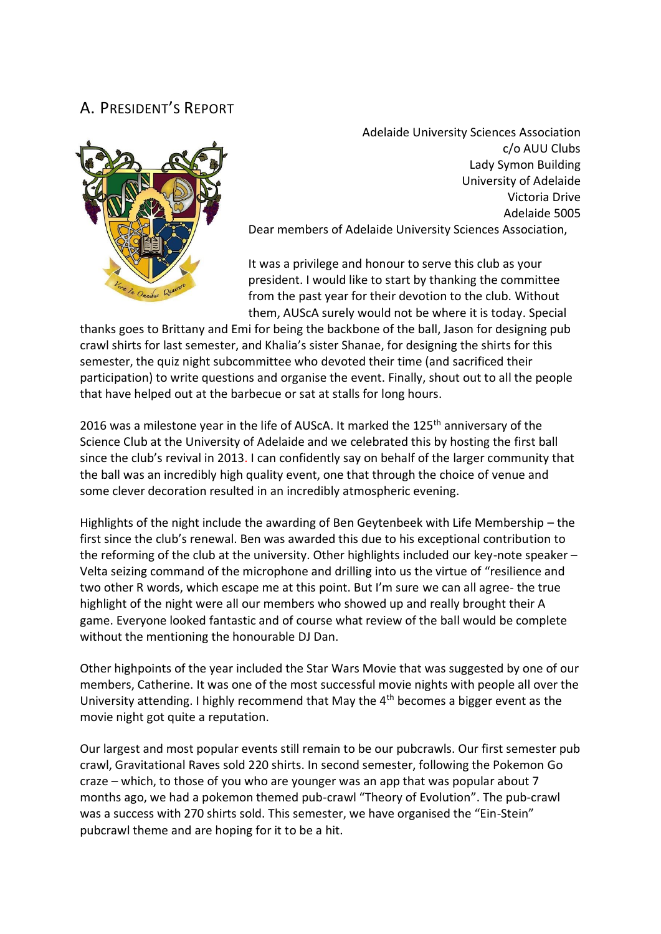## A. PRESIDENT'S REPORT



Adelaide University Sciences Association c/o AUU Clubs Lady Symon Building University of Adelaide Victoria Drive Adelaide 5005 Dear members of Adelaide University Sciences Association,

It was a privilege and honour to serve this club as your president. I would like to start by thanking the committee from the past year for their devotion to the club. Without them, AUScA surely would not be where it is today. Special

thanks goes to Brittany and Emi for being the backbone of the ball, Jason for designing pub crawl shirts for last semester, and Khalia's sister Shanae, for designing the shirts for this semester, the quiz night subcommittee who devoted their time (and sacrificed their participation) to write questions and organise the event. Finally, shout out to all the people that have helped out at the barbecue or sat at stalls for long hours.

2016 was a milestone year in the life of AUScA. It marked the  $125<sup>th</sup>$  anniversary of the Science Club at the University of Adelaide and we celebrated this by hosting the first ball since the club's revival in 2013. I can confidently say on behalf of the larger community that the ball was an incredibly high quality event, one that through the choice of venue and some clever decoration resulted in an incredibly atmospheric evening.

Highlights of the night include the awarding of Ben Geytenbeek with Life Membership – the first since the club's renewal. Ben was awarded this due to his exceptional contribution to the reforming of the club at the university. Other highlights included our key-note speaker – Velta seizing command of the microphone and drilling into us the virtue of "resilience and two other R words, which escape me at this point. But I'm sure we can all agree- the true highlight of the night were all our members who showed up and really brought their A game. Everyone looked fantastic and of course what review of the ball would be complete without the mentioning the honourable DJ Dan.

Other highpoints of the year included the Star Wars Movie that was suggested by one of our members, Catherine. It was one of the most successful movie nights with people all over the University attending. I highly recommend that May the  $4<sup>th</sup>$  becomes a bigger event as the movie night got quite a reputation.

Our largest and most popular events still remain to be our pubcrawls. Our first semester pub crawl, Gravitational Raves sold 220 shirts. In second semester, following the Pokemon Go craze – which, to those of you who are younger was an app that was popular about 7 months ago, we had a pokemon themed pub-crawl "Theory of Evolution". The pub-crawl was a success with 270 shirts sold. This semester, we have organised the "Ein-Stein" pubcrawl theme and are hoping for it to be a hit.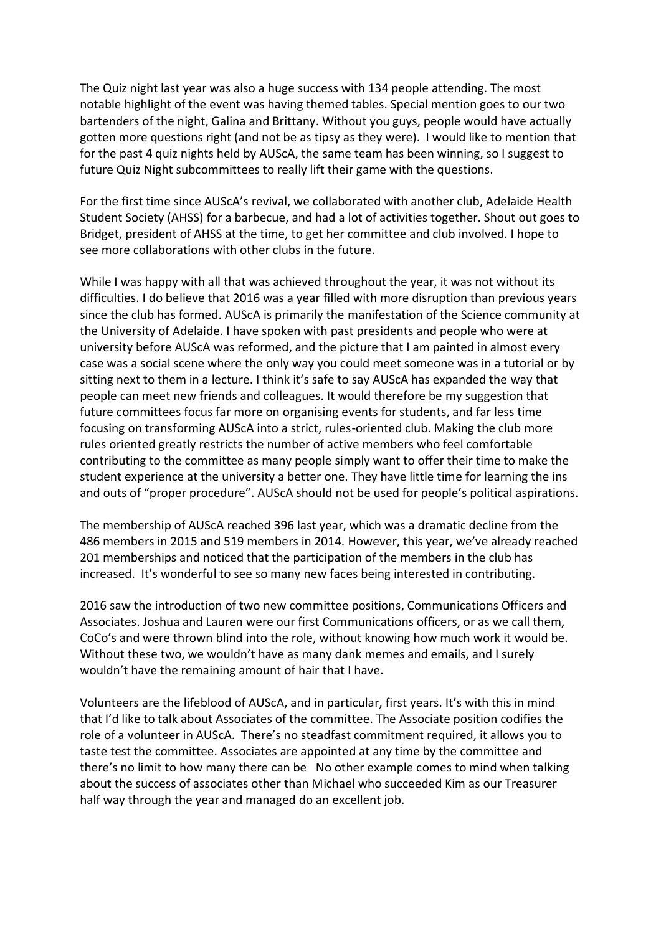The Quiz night last year was also a huge success with 134 people attending. The most notable highlight of the event was having themed tables. Special mention goes to our two bartenders of the night, Galina and Brittany. Without you guys, people would have actually gotten more questions right (and not be as tipsy as they were). I would like to mention that for the past 4 quiz nights held by AUScA, the same team has been winning, so I suggest to future Quiz Night subcommittees to really lift their game with the questions.

For the first time since AUScA's revival, we collaborated with another club, Adelaide Health Student Society (AHSS) for a barbecue, and had a lot of activities together. Shout out goes to Bridget, president of AHSS at the time, to get her committee and club involved. I hope to see more collaborations with other clubs in the future.

While I was happy with all that was achieved throughout the year, it was not without its difficulties. I do believe that 2016 was a year filled with more disruption than previous years since the club has formed. AUScA is primarily the manifestation of the Science community at the University of Adelaide. I have spoken with past presidents and people who were at university before AUScA was reformed, and the picture that I am painted in almost every case was a social scene where the only way you could meet someone was in a tutorial or by sitting next to them in a lecture. I think it's safe to say AUScA has expanded the way that people can meet new friends and colleagues. It would therefore be my suggestion that future committees focus far more on organising events for students, and far less time focusing on transforming AUScA into a strict, rules-oriented club. Making the club more rules oriented greatly restricts the number of active members who feel comfortable contributing to the committee as many people simply want to offer their time to make the student experience at the university a better one. They have little time for learning the ins and outs of "proper procedure". AUScA should not be used for people's political aspirations.

The membership of AUScA reached 396 last year, which was a dramatic decline from the 486 members in 2015 and 519 members in 2014. However, this year, we've already reached 201 memberships and noticed that the participation of the members in the club has increased. It's wonderful to see so many new faces being interested in contributing.

2016 saw the introduction of two new committee positions, Communications Officers and Associates. Joshua and Lauren were our first Communications officers, or as we call them, CoCo's and were thrown blind into the role, without knowing how much work it would be. Without these two, we wouldn't have as many dank memes and emails, and I surely wouldn't have the remaining amount of hair that I have.

Volunteers are the lifeblood of AUScA, and in particular, first years. It's with this in mind that I'd like to talk about Associates of the committee. The Associate position codifies the role of a volunteer in AUScA. There's no steadfast commitment required, it allows you to taste test the committee. Associates are appointed at any time by the committee and there's no limit to how many there can be No other example comes to mind when talking about the success of associates other than Michael who succeeded Kim as our Treasurer half way through the year and managed do an excellent job.